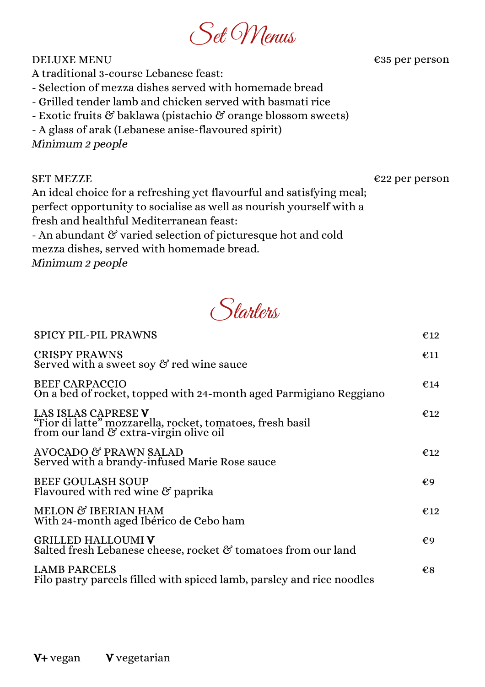## Set Menus

DELUXE MENU

€35 per person

- A traditional 3-course Lebanese feast:
- Selection of mezza dishes served with homemade bread
- Grilled tender lamb and chicken served with basmati rice
- Exotic fruits & baklawa (pistachio & orange blossom sweets)
- A glass of arak (Lebanese anise-flavoured spirit)

Minimum 2 people

SET MEZZE

## €22 per person

An ideal choice for a refreshing yet flavourful and satisfying meal; perfect opportunity to socialise as well as nourish yourself with a fresh and healthful Mediterranean feast:

- An abundant & varied selection of picturesque hot and cold mezza dishes, served with homemade bread. Minimum 2 people



| <b>SPICY PIL-PIL PRAWNS</b>                                                                                                | €12           |
|----------------------------------------------------------------------------------------------------------------------------|---------------|
| <b>CRISPY PRAWNS</b><br>Served with a sweet soy $\mathfrak G$ red wine sauce                                               | $\epsilon$ 11 |
| <b>BEEF CARPACCIO</b><br>On a bed of rocket, topped with 24-month aged Parmigiano Reggiano                                 | €14           |
| LAS ISLAS CAPRESE V<br>"Fior di latte" mozzarella, rocket, tomatoes, fresh basil<br>from our land & extra-virgin olive oil | €12           |
| AVOCADO & PRAWN SALAD<br>Served with a brandy-infused Marie Rose sauce                                                     | €12           |
| <b>BEEF GOULASH SOUP</b><br>Flavoured with red wine $\mathfrak G$ paprika                                                  | €9            |
| MELON & IBERIAN HAM<br>With 24-month aged Ibérico de Cebo ham                                                              | €12           |
| <b>GRILLED HALLOUMI V</b><br>Salted fresh Lebanese cheese, rocket & tomatoes from our land                                 | €9            |
| <b>LAMB PARCELS</b><br>Filo pastry parcels filled with spiced lamb, parsley and rice noodles                               | $\epsilon$ 8  |
|                                                                                                                            |               |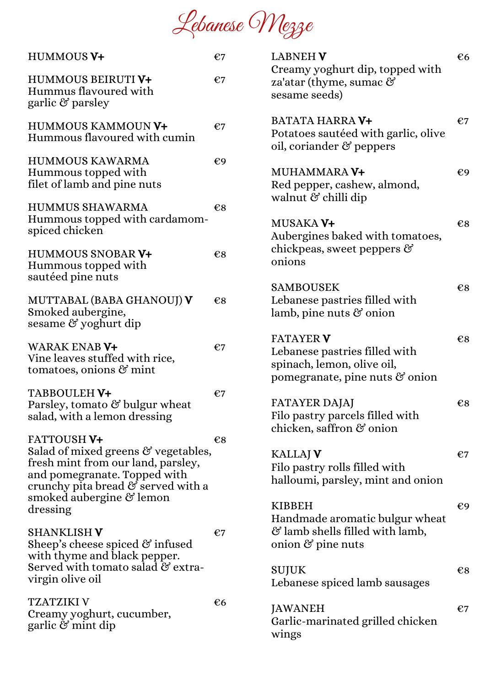Lebanese Mezze

| HUMMOUS V+                                                                                                                                                                                                    | €7 |
|---------------------------------------------------------------------------------------------------------------------------------------------------------------------------------------------------------------|----|
| <b>HUMMOUS BEIRUTIV+</b><br>Hummus flavoured with<br>garlic & parsley                                                                                                                                         | €7 |
| HUMMOUS KAMMOUN V+<br>Hummous flavoured with cumin                                                                                                                                                            | €7 |
| <b>HUMMOUS KAWARMA</b><br>Hummous topped with<br>filet of lamb and pine nuts                                                                                                                                  | €9 |
| <b>HUMMUS SHAWARMA</b><br>Hummous topped with cardamom-<br>spiced chicken                                                                                                                                     | €8 |
| <b>HUMMOUS SNOBAR V+</b><br>Hummous topped with<br>sautéed pine nuts                                                                                                                                          | €8 |
| MUTTABAL (BABA GHANOUJ) V<br>Smoked aubergine,<br>sesame & yoghurt dip                                                                                                                                        | €8 |
| <b>WARAK ENAB V+</b><br>Vine leaves stuffed with rice,<br>tomatoes, onions $\mathfrak{G}$ mint                                                                                                                | €7 |
| TABBOULEH V+<br>Parsley, tomato & bulgur wheat<br>salad, with a lemon dressing                                                                                                                                | €7 |
| <b>FATTOUSH V+</b><br>Salad of mixed greens & vegetables,<br>fresh mint from our land, parsley,<br>and pomegranate. Topped with<br>crunchy pita bread & served with a<br>smoked aubergine & lemon<br>dressing | €8 |
| <b>SHANKLISH V</b><br>Sheep's cheese spiced $\mathfrak G$ infused<br>with thyme and black pepper.<br>Served with tomato salad & extra-<br>virgin olive oil                                                    | €7 |
| TZATZIKI V<br>Creamy yoghurt, cucumber,<br>garlic $\mathcal C$ mint dip                                                                                                                                       | €6 |

| <b>LABNEH V</b><br>Creamy yoghurt dip, topped with<br>za'atar (thyme, sumac $\Im$<br>sesame seeds)                             | €6 |
|--------------------------------------------------------------------------------------------------------------------------------|----|
| <b>BATATA HARRA V+</b><br>Potatoes sautéed with garlic, olive<br>oil, coriander & peppers                                      | €7 |
| MUHAMMARA <b>V+</b><br>Red pepper, cashew, almond,<br>walnut & chilli dip                                                      | €9 |
| MUSAKA V+<br>Aubergines baked with tomatoes,<br>chickpeas, sweet peppers $\mathfrak{S}$<br>onions                              | €8 |
| <b>SAMBOUSEK</b><br>Lebanese pastries filled with<br>lamb, pine nuts $\mathfrak G$ onion                                       | €8 |
| <b>FATAYER V</b><br>Lebanese pastries filled with<br>spinach, lemon, olive oil,<br>pomegranate, pine nuts $\mathfrak{G}$ onion | €8 |
| FATAYER DAJAJ<br>Filo pastry parcels filled with<br>chicken, saffron & onion                                                   | €8 |
| <b>KALLAJ V</b><br>Filo pastry rolls filled with<br>halloumi, parsley, mint and onion                                          | €7 |
| <b>KIBBEH</b><br>Handmade aromatic bulgur wheat<br>& lamb shells filled with lamb,<br>onion $\mathfrak S$ pine nuts            | €9 |
| SUJUK<br>Lebanese spiced lamb sausages                                                                                         | €8 |
| JAWANEH<br>Garlic-marinated grilled chicken<br>wings                                                                           | €7 |